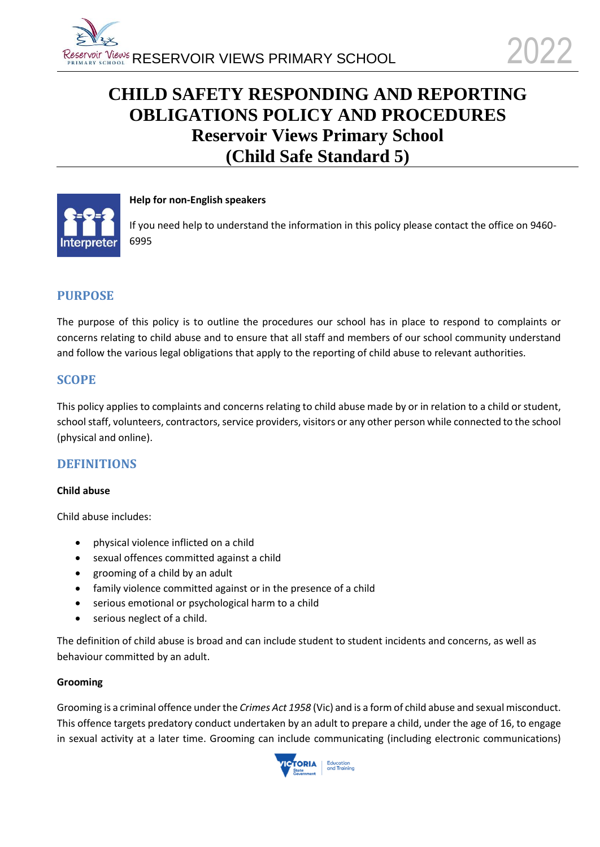# **CHILD SAFETY RESPONDING AND REPORTING OBLIGATIONS POLICY AND PROCEDURES Reservoir Views Primary School (Child Safe Standard 5)**



### **Help for non-English speakers**

If you need help to understand the information in this policy please contact the office on 9460- 6995

### **PURPOSE**

The purpose of this policy is to outline the procedures our school has in place to respond to complaints or concerns relating to child abuse and to ensure that all staff and members of our school community understand and follow the various legal obligations that apply to the reporting of child abuse to relevant authorities.

### **SCOPE**

This policy applies to complaints and concerns relating to child abuse made by or in relation to a child or student, school staff, volunteers, contractors, service providers, visitors or any other person while connected to the school (physical and online).

### **DEFINITIONS**

#### **Child abuse**

Child abuse includes:

- physical violence inflicted on a child
- sexual offences committed against a child
- grooming of a child by an adult
- family violence committed against or in the presence of a child
- serious emotional or psychological harm to a child
- serious neglect of a child.

The definition of child abuse is broad and can include student to student incidents and concerns, as well as behaviour committed by an adult.

#### **Grooming**

Grooming is a criminal offence under the *Crimes Act 1958* (Vic) and is a form of child abuse and sexual misconduct. This offence targets predatory conduct undertaken by an adult to prepare a child, under the age of 16, to engage in sexual activity at a later time. Grooming can include communicating (including electronic communications)

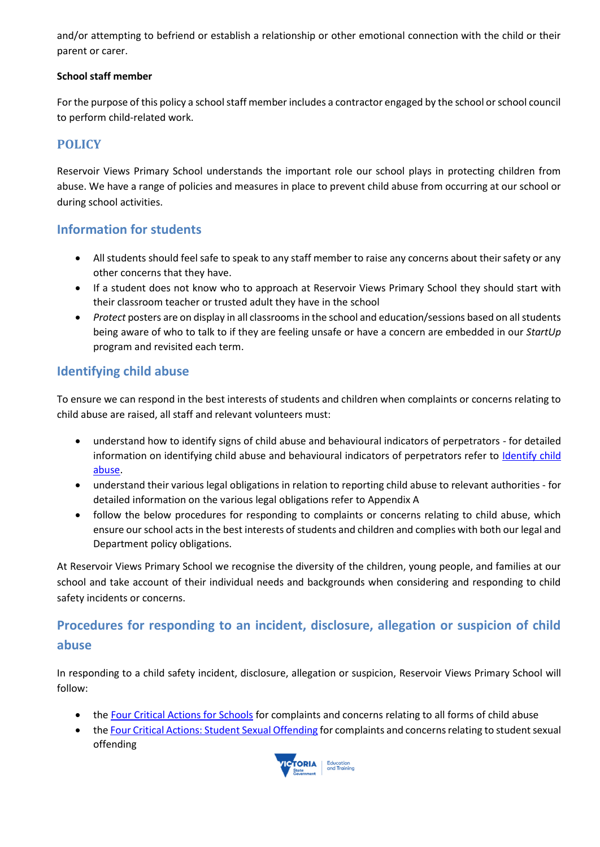and/or attempting to befriend or establish a relationship or other emotional connection with the child or their parent or carer.

### **School staff member**

For the purpose of this policy a school staff member includes a contractor engaged by the school or school council to perform child-related work.

# **POLICY**

Reservoir Views Primary School understands the important role our school plays in protecting children from abuse. We have a range of policies and measures in place to prevent child abuse from occurring at our school or during school activities.

# **Information for students**

- All students should feel safe to speak to any staff member to raise any concerns about their safety or any other concerns that they have.
- If a student does not know who to approach at Reservoir Views Primary School they should start with their classroom teacher or trusted adult they have in the school
- *Protect* posters are on display in all classrooms in the school and education/sessions based on all students being aware of who to talk to if they are feeling unsafe or have a concern are embedded in our *StartUp* program and revisited each term.

# **Identifying child abuse**

To ensure we can respond in the best interests of students and children when complaints or concerns relating to child abuse are raised, all staff and relevant volunteers must:

- understand how to identify signs of child abuse and behavioural indicators of perpetrators for detailed information on identifying child abuse and behavioural indicators of perpetrators refer to Identify child [abuse.](https://www.education.vic.gov.au/school/teachers/health/childprotection/Pages/identify.aspx)
- understand their various legal obligations in relation to reporting child abuse to relevant authorities for detailed information on the various legal obligations refer to Appendix A
- follow the below procedures for responding to complaints or concerns relating to child abuse, which ensure our school acts in the best interests of students and children and complies with both our legal and Department policy obligations.

At Reservoir Views Primary School we recognise the diversity of the children, young people, and families at our school and take account of their individual needs and backgrounds when considering and responding to child safety incidents or concerns.

# **Procedures for responding to an incident, disclosure, allegation or suspicion of child abuse**

In responding to a child safety incident, disclosure, allegation or suspicion, Reservoir Views Primary School will follow:

- the [Four Critical Actions for Schools](https://www.education.vic.gov.au/Documents/about/programs/health/protect/FourCriticalActions_ChildAbuse.pdf) for complaints and concerns relating to all forms of child abuse
- th[e Four Critical Actions: Student Sexual Offending](https://www.education.vic.gov.au/school/teachers/health/childprotection/Pages/stusexual.aspx) for complaints and concerns relating to student sexual offending

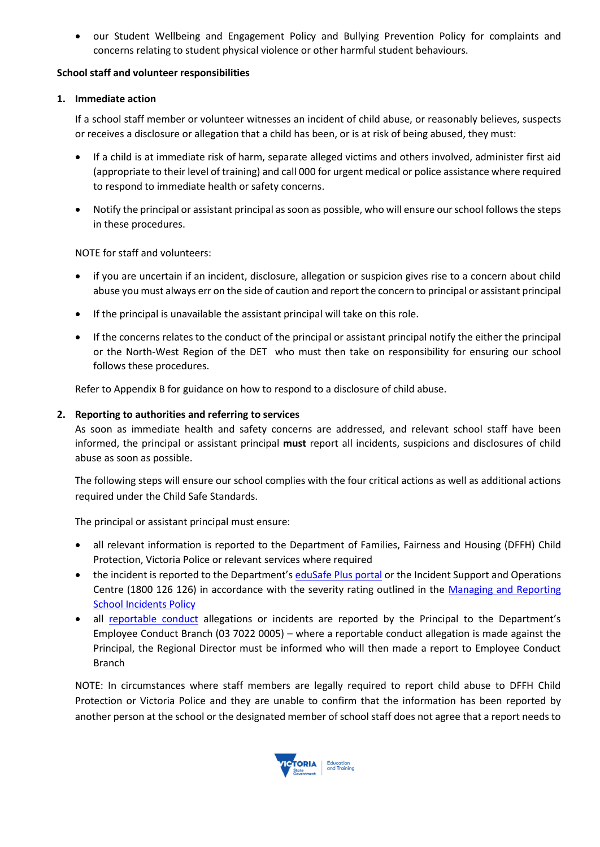• our Student Wellbeing and Engagement Policy and Bullying Prevention Policy for complaints and concerns relating to student physical violence or other harmful student behaviours.

#### **School staff and volunteer responsibilities**

### **1. Immediate action**

If a school staff member or volunteer witnesses an incident of child abuse, or reasonably believes, suspects or receives a disclosure or allegation that a child has been, or is at risk of being abused, they must:

- If a child is at immediate risk of harm, separate alleged victims and others involved, administer first aid (appropriate to their level of training) and call 000 for urgent medical or police assistance where required to respond to immediate health or safety concerns.
- Notify the principal or assistant principal as soon as possible, who will ensure our school follows the steps in these procedures.

NOTE for staff and volunteers:

- if you are uncertain if an incident, disclosure, allegation or suspicion gives rise to a concern about child abuse you must always err on the side of caution and report the concern to principal or assistant principal
- If the principal is unavailable the assistant principal will take on this role.
- If the concerns relates to the conduct of the principal or assistant principal notify the either the principal or the North-West Region of the DET who must then take on responsibility for ensuring our school follows these procedures.

Refer to Appendix B for guidance on how to respond to a disclosure of child abuse.

#### **2. Reporting to authorities and referring to services**

As soon as immediate health and safety concerns are addressed, and relevant school staff have been informed, the principal or assistant principal **must** report all incidents, suspicions and disclosures of child abuse as soon as possible.

The following steps will ensure our school complies with the four critical actions as well as additional actions required under the Child Safe Standards.

The principal or assistant principal must ensure:

- all relevant information is reported to the Department of Families, Fairness and Housing (DFFH) Child Protection, Victoria Police or relevant services where required
- the incident is reported to the Department's [eduSafe Plus portal](https://services.educationapps.vic.gov.au/edusafeplus) or the Incident Support and Operations Centre (1800 126 126) in accordance with the severity rating outlined in the Managing and Reporting **[School Incidents Policy](https://www2.education.vic.gov.au/pal/reporting-and-managing-school-incidents-including-emergencies/policy)**
- all [reportable conduct](https://www2.education.vic.gov.au/pal/reportable-conduct-scheme/policy) allegations or incidents are reported by the Principal to the Department's Employee Conduct Branch (03 7022 0005) – where a reportable conduct allegation is made against the Principal, the Regional Director must be informed who will then made a report to Employee Conduct Branch

NOTE: In circumstances where staff members are legally required to report child abuse to DFFH Child Protection or Victoria Police and they are unable to confirm that the information has been reported by another person at the school or the designated member of school staff does not agree that a report needs to

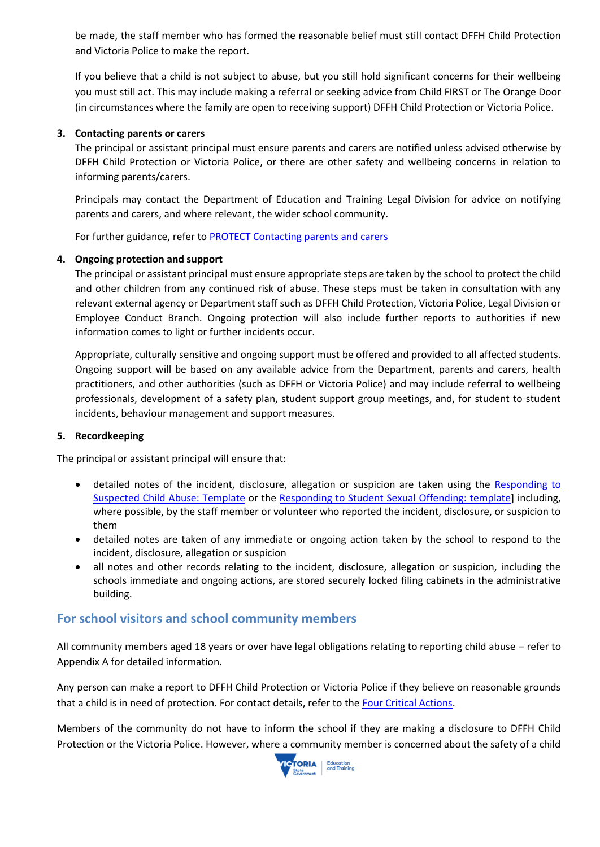be made, the staff member who has formed the reasonable belief must still contact DFFH Child Protection and Victoria Police to make the report.

If you believe that a child is not subject to abuse, but you still hold significant concerns for their wellbeing you must still act. This may include making a referral or seeking advice from Child FIRST or The Orange Door (in circumstances where the family are open to receiving support) DFFH Child Protection or Victoria Police.

### **3. Contacting parents or carers**

The principal or assistant principal must ensure parents and carers are notified unless advised otherwise by DFFH Child Protection or Victoria Police, or there are other safety and wellbeing concerns in relation to informing parents/carers.

Principals may contact the Department of Education and Training Legal Division for advice on notifying parents and carers, and where relevant, the wider school community.

For further guidance, refer to [PROTECT Contacting parents and carers](https://www.education.vic.gov.au/school/teachers/health/childprotection/Pages/actionthree.aspx)

#### **4. Ongoing protection and support**

The principal or assistant principal must ensure appropriate steps are taken by the school to protect the child and other children from any continued risk of abuse. These steps must be taken in consultation with any relevant external agency or Department staff such as DFFH Child Protection, Victoria Police, Legal Division or Employee Conduct Branch. Ongoing protection will also include further reports to authorities if new information comes to light or further incidents occur.

Appropriate, culturally sensitive and ongoing support must be offered and provided to all affected students. Ongoing support will be based on any available advice from the Department, parents and carers, health practitioners, and other authorities (such as DFFH or Victoria Police) and may include referral to wellbeing professionals, development of a safety plan, student support group meetings, and, for student to student incidents, behaviour management and support measures.

#### **5. Recordkeeping**

The principal or assistant principal will ensure that:

- detailed notes of the incident, disclosure, allegation or suspicion are taken using the [Responding to](https://www.education.vic.gov.au/Documents/about/programs/health/protect/PROTECT_Schoolstemplate.pdf)  [Suspected Child Abuse: Template](https://www.education.vic.gov.au/Documents/about/programs/health/protect/PROTECT_Schoolstemplate.pdf) or the [Responding to Student Sexual Offending: template\]](https://www.education.vic.gov.au/Documents/about/programs/health/protect/SSO_ReportingTemplate.docx) including, where possible, by the staff member or volunteer who reported the incident, disclosure, or suspicion to them
- detailed notes are taken of any immediate or ongoing action taken by the school to respond to the incident, disclosure, allegation or suspicion
- all notes and other records relating to the incident, disclosure, allegation or suspicion, including the schools immediate and ongoing actions, are stored securely locked filing cabinets in the administrative building.

### **For school visitors and school community members**

All community members aged 18 years or over have legal obligations relating to reporting child abuse – refer to Appendix A for detailed information.

Any person can make a report to DFFH Child Protection or Victoria Police if they believe on reasonable grounds that a child is in need of protection. For contact details, refer to the [Four Critical Actions.](https://www.education.vic.gov.au/Documents/about/programs/health/protect/FourCriticalActions_ChildAbuse.pdf)

Members of the community do not have to inform the school if they are making a disclosure to DFFH Child Protection or the Victoria Police. However, where a community member is concerned about the safety of a child

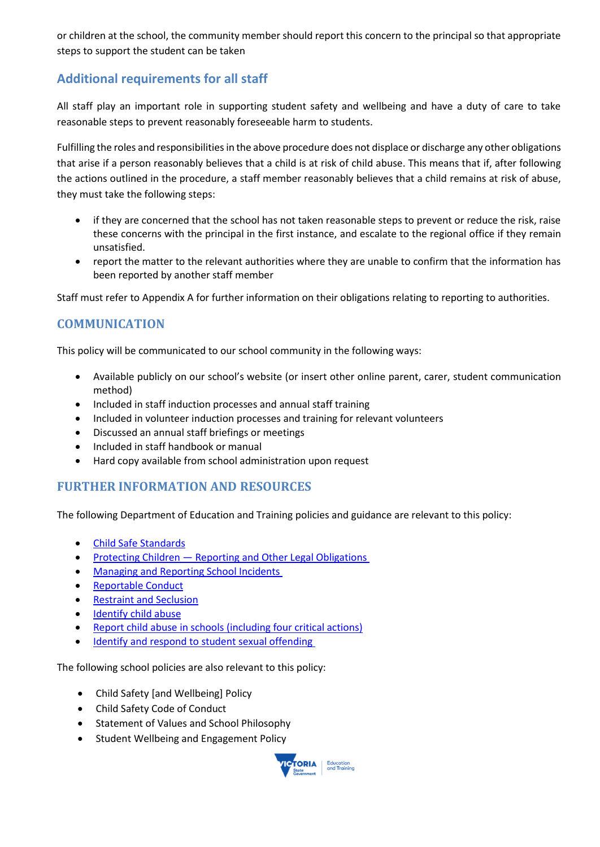or children at the school, the community member should report this concern to the principal so that appropriate steps to support the student can be taken

# **Additional requirements for all staff**

All staff play an important role in supporting student safety and wellbeing and have a duty of care to take reasonable steps to prevent reasonably foreseeable harm to students.

Fulfilling the roles and responsibilities in the above procedure does not displace or discharge any other obligations that arise if a person reasonably believes that a child is at risk of child abuse. This means that if, after following the actions outlined in the procedure, a staff member reasonably believes that a child remains at risk of abuse, they must take the following steps:

- if they are concerned that the school has not taken reasonable steps to prevent or reduce the risk, raise these concerns with the principal in the first instance, and escalate to the regional office if they remain unsatisfied.
- report the matter to the relevant authorities where they are unable to confirm that the information has been reported by another staff member

Staff must refer to Appendix A for further information on their obligations relating to reporting to authorities.

### **COMMUNICATION**

This policy will be communicated to our school community in the following ways:

- Available publicly on our school's website (or insert other online parent, carer, student communication method)
- Included in staff induction processes and annual staff training
- Included in volunteer induction processes and training for relevant volunteers
- Discussed an annual staff briefings or meetings
- Included in staff handbook or manual
- Hard copy available from school administration upon request

### **FURTHER INFORMATION AND RESOURCES**

The following Department of Education and Training policies and guidance are relevant to this policy:

- [Child Safe Standards](https://www2.education.vic.gov.au/pal/child-safe-standards/policy)
- Protecting Children [Reporting and Other Legal Obligations](https://www2.education.vic.gov.au/pal/protecting-children/policy)
- [Managing and Reporting School Incidents](https://www2.education.vic.gov.au/pal/reporting-and-managing-school-incidents-including-emergencies/policy)
- [Reportable Conduct](https://www2.education.vic.gov.au/pal/reportable-conduct-scheme/policy)
- [Restraint and Seclusion](https://www2.education.vic.gov.au/pal/restraint-seclusion/policy)
- [Identify child abuse](https://www.education.vic.gov.au/school/teachers/health/childprotection/Pages/identify.aspx)
- [Report child abuse in schools \(including four critical actions\)](https://www.education.vic.gov.au/school/teachers/health/childprotection/Pages/report.aspx)
- [Identify and respond to student sexual offending](https://www.education.vic.gov.au/school/teachers/health/childprotection/Pages/stusexual.aspx)

The following school policies are also relevant to this policy:

- Child Safety [and Wellbeing] Policy
- Child Safety Code of Conduct
- Statement of Values and School Philosophy
- Student Wellbeing and Engagement Policy

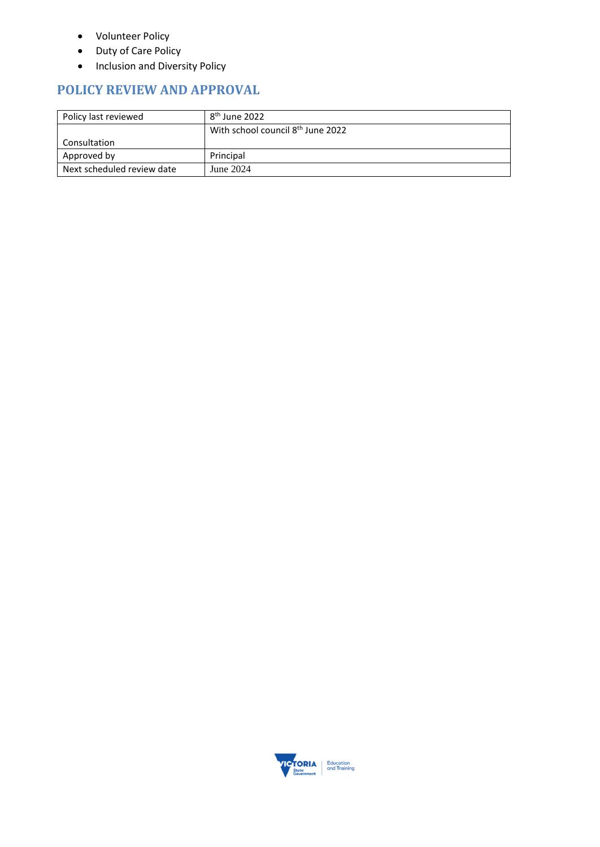- Volunteer Policy
- Duty of Care Policy
- Inclusion and Diversity Policy

# **POLICY REVIEW AND APPROVAL**

| Policy last reviewed       | 8 <sup>th</sup> June 2022                     |
|----------------------------|-----------------------------------------------|
|                            | With school council 8 <sup>th</sup> June 2022 |
| Consultation               |                                               |
| Approved by                | Principal                                     |
| Next scheduled review date | June 2024                                     |

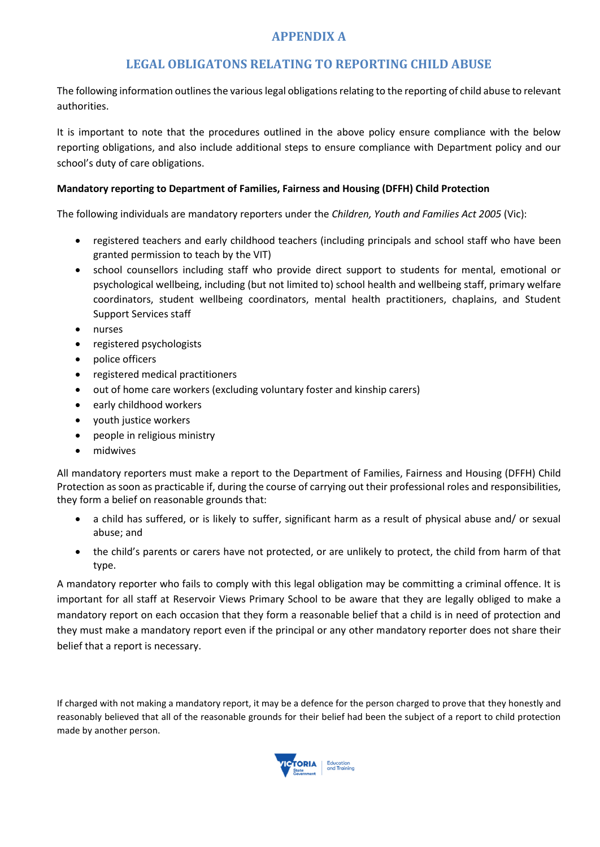# **APPENDIX A**

### **LEGAL OBLIGATONS RELATING TO REPORTING CHILD ABUSE**

The following information outlines the various legal obligations relating to the reporting of child abuse to relevant authorities.

It is important to note that the procedures outlined in the above policy ensure compliance with the below reporting obligations, and also include additional steps to ensure compliance with Department policy and our school's duty of care obligations.

### **Mandatory reporting to Department of Families, Fairness and Housing (DFFH) Child Protection**

The following individuals are mandatory reporters under the *Children, Youth and Families Act 2005* (Vic):

- registered teachers and early childhood teachers (including principals and school staff who have been granted permission to teach by the VIT)
- school counsellors including staff who provide direct support to students for mental, emotional or psychological wellbeing, including (but not limited to) school health and wellbeing staff, primary welfare coordinators, student wellbeing coordinators, mental health practitioners, chaplains, and Student Support Services staff
- nurses
- registered psychologists
- police officers
- registered medical practitioners
- out of home care workers (excluding voluntary foster and kinship carers)
- early childhood workers
- youth justice workers
- people in religious ministry
- midwives

All mandatory reporters must make a report to the Department of Families, Fairness and Housing (DFFH) Child Protection as soon as practicable if, during the course of carrying out their professional roles and responsibilities, they form a belief on reasonable grounds that:

- a child has suffered, or is likely to suffer, significant harm as a result of physical abuse and/ or sexual abuse; and
- the child's parents or carers have not protected, or are unlikely to protect, the child from harm of that type.

A mandatory reporter who fails to comply with this legal obligation may be committing a criminal offence. It is important for all staff at Reservoir Views Primary School to be aware that they are legally obliged to make a mandatory report on each occasion that they form a reasonable belief that a child is in need of protection and they must make a mandatory report even if the principal or any other mandatory reporter does not share their belief that a report is necessary.

If charged with not making a mandatory report, it may be a defence for the person charged to prove that they honestly and reasonably believed that all of the reasonable grounds for their belief had been the subject of a report to child protection made by another person.

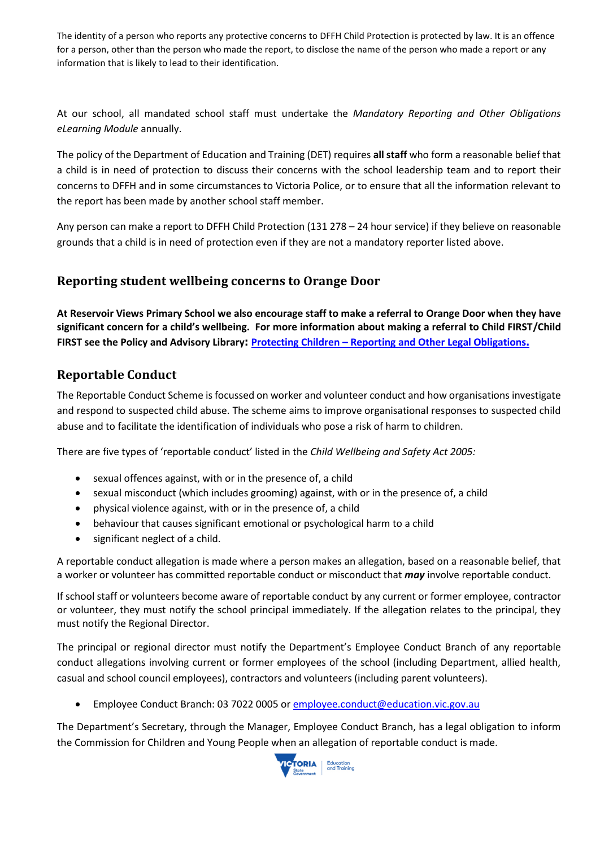The identity of a person who reports any protective concerns to DFFH Child Protection is protected by law. It is an offence for a person, other than the person who made the report, to disclose the name of the person who made a report or any information that is likely to lead to their identification.

At our school, all mandated school staff must undertake the *Mandatory Reporting and Other Obligations eLearning Module* annually.

The policy of the Department of Education and Training (DET) requires **all staff** who form a reasonable belief that a child is in need of protection to discuss their concerns with the school leadership team and to report their concerns to DFFH and in some circumstances to Victoria Police, or to ensure that all the information relevant to the report has been made by another school staff member.

Any person can make a report to DFFH Child Protection (131 278 – 24 hour service) if they believe on reasonable grounds that a child is in need of protection even if they are not a mandatory reporter listed above.

### **Reporting student wellbeing concerns to Orange Door**

**At Reservoir Views Primary School we also encourage staff to make a referral to Orange Door when they have significant concern for a child's wellbeing. For more information about making a referral to Child FIRST/Child FIRST see the Policy and Advisory Library: Protecting Children – [Reporting and Other Legal Obligations](https://www2.education.vic.gov.au/pal/protecting-children/policy).**

# **Reportable Conduct**

The Reportable Conduct Scheme is focussed on worker and volunteer conduct and how organisations investigate and respond to suspected child abuse. The scheme aims to improve organisational responses to suspected child abuse and to facilitate the identification of individuals who pose a risk of harm to children.

There are five types of 'reportable conduct' listed in the *Child Wellbeing and Safety Act 2005:*

- sexual offences against, with or in the presence of, a child
- sexual misconduct (which includes grooming) against, with or in the presence of, a child
- physical violence against, with or in the presence of, a child
- behaviour that causes significant emotional or psychological harm to a child
- significant neglect of a child.

A reportable conduct allegation is made where a person makes an allegation, based on a reasonable belief, that a worker or volunteer has committed reportable conduct or misconduct that *may* involve reportable conduct.

If school staff or volunteers become aware of reportable conduct by any current or former employee, contractor or volunteer, they must notify the school principal immediately. If the allegation relates to the principal, they must notify the Regional Director.

The principal or regional director must notify the Department's Employee Conduct Branch of any reportable conduct allegations involving current or former employees of the school (including Department, allied health, casual and school council employees), contractors and volunteers (including parent volunteers).

• Employee Conduct Branch: 03 7022 0005 or [employee.conduct@education.vic.gov.au](mailto:employee.conduct@education.vic.gov.au)

The Department's Secretary, through the Manager, Employee Conduct Branch, has a legal obligation to inform the Commission for Children and Young People when an allegation of reportable conduct is made.

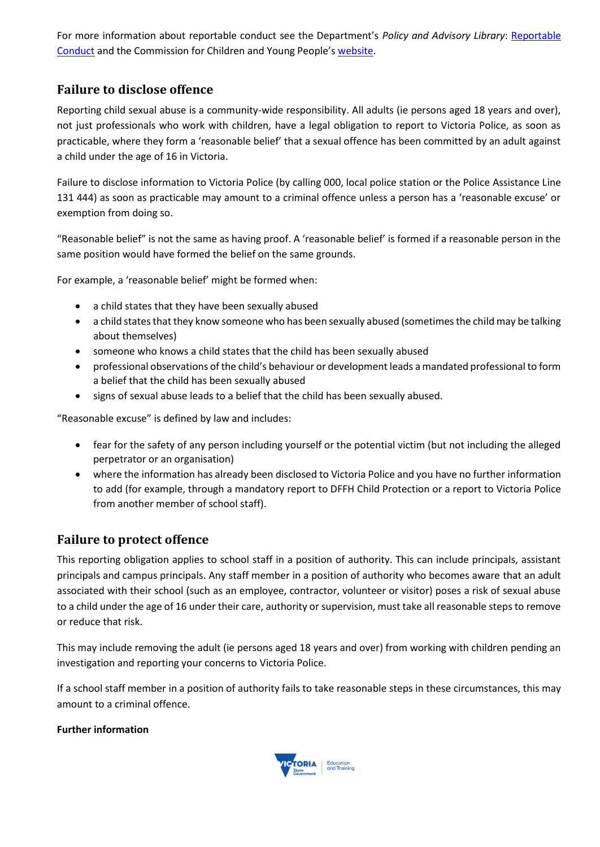For more information about reportable conduct see the Department's *Policy and Advisory Library*: [Reportable](https://www2.education.vic.gov.au/pal/reportable-conduct-scheme/policy)  [Conduct](https://www2.education.vic.gov.au/pal/reportable-conduct-scheme/policy) and the Commission for Children and Young People's [website.](https://ccyp.vic.gov.au/reportable-conduct-scheme/)

# **Failure to disclose offence**

Reporting child sexual abuse is a community-wide responsibility. All adults (ie persons aged 18 years and over), not just professionals who work with children, have a legal obligation to report to Victoria Police, as soon as practicable, where they form a 'reasonable belief' that a sexual offence has been committed by an adult against a child under the age of 16 in Victoria.

Failure to disclose information to Victoria Police (by calling 000, local police station or the Police Assistance Line 131 444) as soon as practicable may amount to a criminal offence unless a person has a 'reasonable excuse' or exemption from doing so.

"Reasonable belief" is not the same as having proof. A 'reasonable belief' is formed if a reasonable person in the same position would have formed the belief on the same grounds.

For example, a 'reasonable belief' might be formed when:

- a child states that they have been sexually abused
- a child states that they know someone who has been sexually abused (sometimes the child may be talking about themselves)
- someone who knows a child states that the child has been sexually abused
- professional observations of the child's behaviour or development leads a mandated professional to form a belief that the child has been sexually abused
- signs of sexual abuse leads to a belief that the child has been sexually abused.

"Reasonable excuse" is defined by law and includes:

- fear for the safety of any person including yourself or the potential victim (but not including the alleged perpetrator or an organisation)
- where the information has already been disclosed to Victoria Police and you have no further information to add (for example, through a mandatory report to DFFH Child Protection or a report to Victoria Police from another member of school staff).

### **Failure to protect offence**

This reporting obligation applies to school staff in a position of authority. This can include principals, assistant principals and campus principals. Any staff member in a position of authority who becomes aware that an adult associated with their school (such as an employee, contractor, volunteer or visitor) poses a risk of sexual abuse to a child under the age of 16 under their care, authority or supervision, must take all reasonable steps to remove or reduce that risk.

This may include removing the adult (ie persons aged 18 years and over) from working with children pending an investigation and reporting your concerns to Victoria Police.

If a school staff member in a position of authority fails to take reasonable steps in these circumstances, this may amount to a criminal offence.

### **Further information**

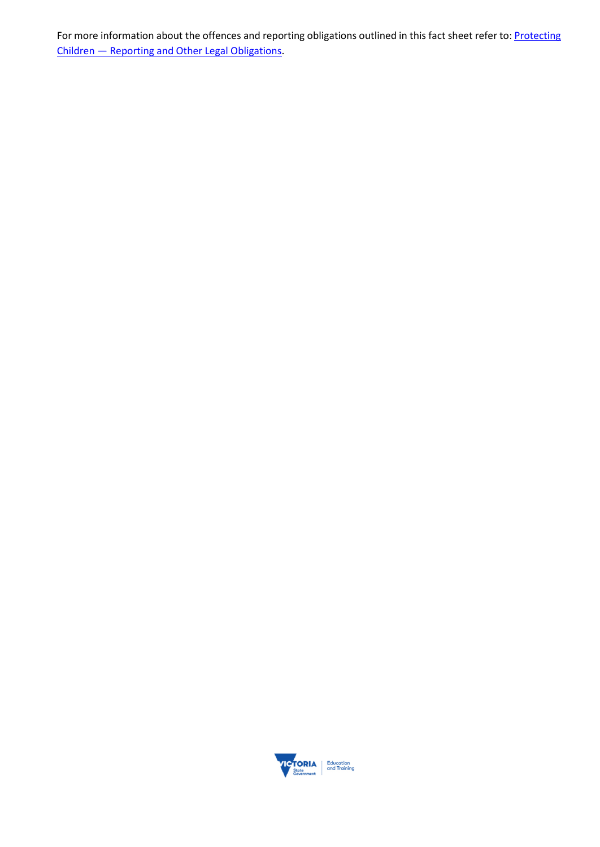For more information about the offences and reporting obligations outlined in this fact sheet refer to: Protecting Children — [Reporting and Other Legal Obligations.](https://www2.education.vic.gov.au/pal/protecting-children/policy)